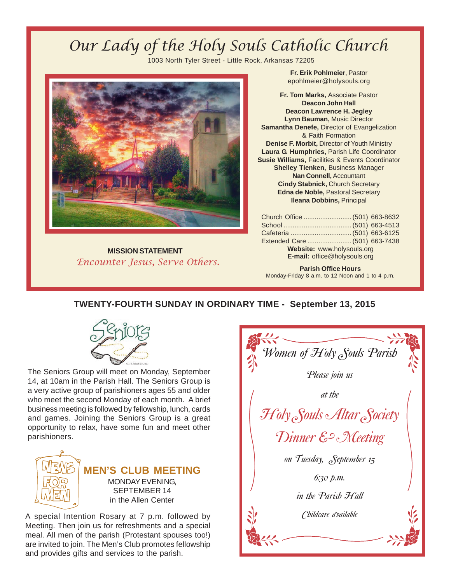# Our Lady of the Holy Souls Catholic Church

1003 North Tyler Street - Little Rock, Arkansas 72205



**MISSION STATEMENT** Encounter Jesus, Serve Others.

**Fr. Erik Pohlmeier**, Pastor epohlmeier@holysouls.org

**Fr. Tom Marks,** Associate Pastor **Deacon John Hall Deacon Lawrence H. Jegley Lynn Bauman,** Music Director **Samantha Denefe,** Director of Evangelization & Faith Formation **Denise F. Morbit,** Director of Youth Ministry **Laura G. Humphries,** Parish Life Coordinator **Susie Williams,** Facilities & Events Coordinator **Shelley Tienken,** Business Manager **Nan Connell,** Accountant **Cindy Stabnick,** Church Secretary **Edna de Noble,** Pastoral Secretary **Ileana Dobbins,** Principal

| Church Office  (501) 663-8632       |  |  |  |
|-------------------------------------|--|--|--|
|                                     |  |  |  |
| Cafeteria  (501) 663-6125           |  |  |  |
| Extended Care  (501) 663-7438       |  |  |  |
| Website: www.holysouls.org          |  |  |  |
| <b>E-mail:</b> office@holysouls.org |  |  |  |
|                                     |  |  |  |

**Parish Office Hours** Monday-Friday 8 a.m. to 12 Noon and 1 to 4 p.m.

## **TWENTY-FOURTH SUNDAY IN ORDINARY TIME - September 13, 2015**



The Seniors Group will meet on Monday, September 14, at 10am in the Parish Hall. The Seniors Group is a very active group of parishioners ages 55 and older who meet the second Monday of each month. A brief business meeting is followed by fellowship, lunch, cards and games. Joining the Seniors Group is a great opportunity to relax, have some fun and meet other parishioners.



**MEN'S CLUB MEETING** MONDAY EVENING, SEPTEMBER 14 in the Allen Center

A special Intention Rosary at 7 p.m. followed by Meeting. Then join us for refreshments and a special meal. All men of the parish (Protestant spouses too!) are invited to join. The Men's Club promotes fellowship and provides gifts and services to the parish.

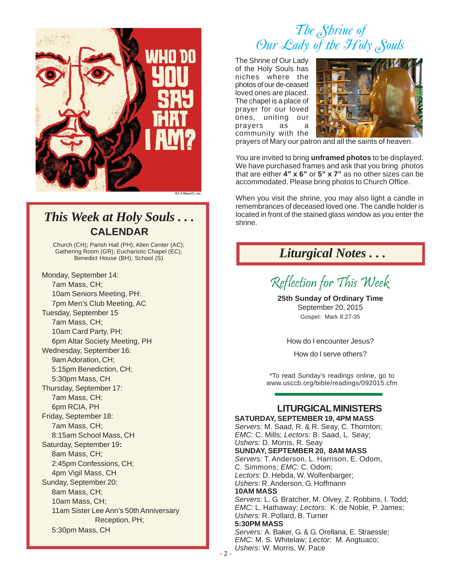

## **CALENDAR** *This Week at Holy Souls . . .*

Church (CH); Parish Hall (PH); Allen Center (AC); Gathering Room (GR); Eucharistic Chapel (EC); Benedict House (BH); School (S)

Monday, September 14: 7am Mass, CH; 10am Seniors Meeting, PH: 7pm Men's Club Meeting, AC Tuesday, September 15 7am Mass, CH; 10am Card Party, PH; 6pm Altar Society Meeting, PH Wednesday, September 16: 9am Adoration, CH; 5:15pm Benediction, CH; 5:30pm Mass, CH Thursday, September 17: 7am Mass, CH; 6pm RCIA, PH Friday, September 18: 7am Mass, CH; 8:15am School Mass, CH Saturday, September 19**:** 8am Mass, CH; 2:45pm Confessions, CH; 4pm Vigil Mass, CH Sunday, September 20: 8am Mass, CH; 10am Mass, CH; 11am Sister Lee Ann's 50th Anniversary Reception, PH; 5:30pm Mass, CH

# *The Shrine of Our Lady of the Holy Souls*

The Shrine of Our Lady of the Holy Souls has niches where the photos of our de-ceased loved ones are placed. The chapel is a place of prayer for our loved ones, uniting our prayers as community with the



prayers of Mary our patron and all the saints of heaven.

You are invited to bring **unframed photos** to be displayed. We have purchased frames and ask that you bring photos that are either **4" x 6"** or **5" x 7"** as no other sizes can be accommodated. Please bring photos to Church Office.

When you visit the shrine, you may also light a candle in remembrances of deceased loved one. The candle holder is located in front of the stained glass window as you enter the shrine.

## *Liturgical Notes . . .*

Reflection for This Week

**25th Sunday of Ordinary Time** September 20, 2015 Gospel: Mark 8:27-35

How do I encounter Jesus?

How do I serve others?

\*To read Sunday's readings online, go to www.usccb.org/bible/readings/092015.cfm

## **LITURGICAL MINISTERS**

**SATURDAY, SEPTEMBER 19, 4PM MASS** *Servers:* M. Saad, R. & R. Seay, C. Thornton; *EMC:* C. Mills; *Lectors:* B. Saad, L. Seay; *Ushers:* D. Morris, R. Seay **SUNDAY, SEPTEMBER 20, 8AM MASS** *Servers:* T. Anderson, L. Harrison, E. Odom, C. Simmons; *EMC:* C. Odom; *Lectors*: D. Hebda, W. Wolfenbarger; *Ushers:* R. Anderson, G. Hoffmann **10AM MASS** *Servers:* L. G. Bratcher, M. Olvey, Z. Robbins, I. Todd; *EMC:* L. Hathaway; *Lectors:* K. de Noble, P. James; *Ushers:* R. Pollard, B. Turner **5:30PM MASS** *Servers:* A. Baker, G. & G. Orellana, E. Straessle; *EMC:* M. S. Whitelaw; *Lector:* M. Angtuaco; *Ushers*: W. Morris, W. Pace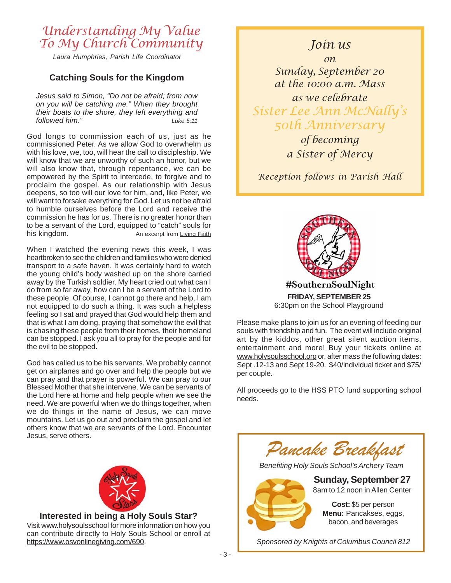## Understanding My Value To My Church Community

*Laura Humphries, Parish Life Coordinator*

### **Catching Souls for the Kingdom**

*Jesus said to Simon, "Do not be afraid; from now on you will be catching me." When they brought their boats to the shore, they left everything and followed him." Luke 5:11*

God longs to commission each of us, just as he commissioned Peter. As we allow God to overwhelm us with his love, we, too, will hear the call to discipleship. We will know that we are unworthy of such an honor, but we will also know that, through repentance, we can be empowered by the Spirit to intercede, to forgive and to proclaim the gospel. As our relationship with Jesus deepens, so too will our love for him, and, like Peter, we will want to forsake everything for God. Let us not be afraid to humble ourselves before the Lord and receive the commission he has for us. There is no greater honor than to be a servant of the Lord, equipped to "catch" souls for his kingdom. This kingdom.

When I watched the evening news this week, I was heartbroken to see the children and families who were denied transport to a safe haven. It was certainly hard to watch the young child's body washed up on the shore carried away by the Turkish soldier. My heart cried out what can I do from so far away, how can I be a servant of the Lord to these people. Of course, I cannot go there and help, I am not equipped to do such a thing. It was such a helpless feeling so I sat and prayed that God would help them and that is what I am doing, praying that somehow the evil that is chasing these people from their homes, their homeland can be stopped. I ask you all to pray for the people and for the evil to be stopped.

God has called us to be his servants. We probably cannot get on airplanes and go over and help the people but we can pray and that prayer is powerful. We can pray to our Blessed Mother that she intervene. We can be servants of the Lord here at home and help people when we see the need. We are powerful when we do things together, when we do things in the name of Jesus, we can move mountains. Let us go out and proclaim the gospel and let others know that we are servants of the Lord. Encounter Jesus, serve others.



**Interested in being a Holy Souls Star?** Visit www.holysoulsschool for more information on how you can contribute directly to Holy Souls School or enroll at https://www.osvonlinegiving.com/690.

## Join us

on Sunday, September 20 at the 10:00 a.m. Mass as we celebrate Sister Lee Ann McNally's 50th Anniversary of becoming

a Sister of Mercy

Reception follows in Parish Hall



**FRIDAY, SEPTEMBER 25** 6:30pm on the School Playground

Please make plans to join us for an evening of feeding our souls with friendship and fun. The event will include original art by the kiddos, other great silent auction items, entertainment and more! Buy your tickets online at www.holysoulsschool.org or, after mass the following dates: Sept .12-13 and Sept 19-20. \$40/individual ticket and \$75/ per couple.

All proceeds go to the HSS PTO fund supporting school needs.



**Menu:** Pancakses, eggs, bacon, and beverages

*Sponsored by Knights of Columbus Council 812*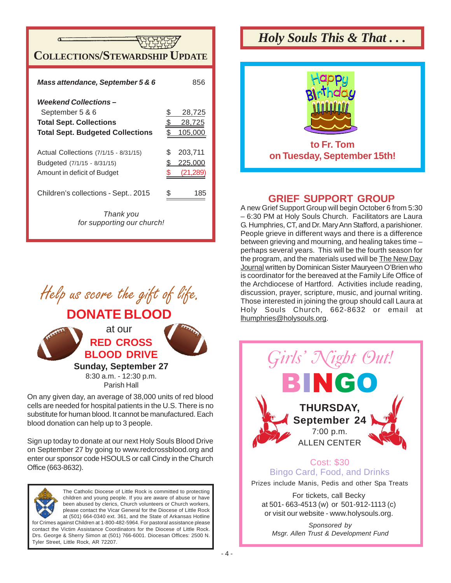

| Mass attendance, September 5 & 6        |    | 856     |
|-----------------------------------------|----|---------|
| <b>Weekend Collections –</b>            |    |         |
| September 5 & 6                         |    | 28,725  |
| <b>Total Sept. Collections</b>          |    | 28,725  |
| <b>Total Sept. Budgeted Collections</b> |    | 105,00  |
| Actual Collections (7/1/15 - 8/31/15)   | S  | 203,711 |
| Budgeted (7/1/15 - 8/31/15)             | S  | 225,000 |
| Amount in deficit of Budget             |    | (21,289 |
| Children's collections - Sept 2015      | \$ | 185     |
| Thank you<br>for supporting our church! |    |         |



**Sunday, September 27**

8:30 a.m. - 12:30 p.m. Parish Hall

On any given day, an average of 38,000 units of red blood cells are needed for hospital patients in the U.S. There is no substitute for human blood. It cannot be manufactured. Each blood donation can help up to 3 people.

Sign up today to donate at our next Holy Souls Blood Drive on September 27 by going to www.redcrossblood.org and enter our sponsor code HSOULS or call Cindy in the Church Office (663-8632).



The Catholic Diocese of Little Rock is committed to protecting children and young people. If you are aware of abuse or have been abused by clerics, Church volunteers or Church workers, please contact the Vicar General for the Diocese of Little Rock at (501) 664-0340 ext. 361, and the State of Arkansas Hotline for Crimes against Children at 1-800-482-5964. For pastoral assistance please

contact the Victim Assistance Coordinators for the Diocese of Little Rock. Drs. George & Sherry Simon at (501) 766-6001. Diocesan Offices: 2500 N. Tyler Street, Little Rock, AR 72207.

# *Holy Souls This & That . . .*



## **GRIEF SUPPORT GROUP**

A new Grief Support Group will begin October 6 from 5:30 – 6:30 PM at Holy Souls Church. Facilitators are Laura G. Humphries, CT, and Dr. Mary Ann Stafford, a parishioner. People grieve in different ways and there is a difference between grieving and mourning, and healing takes time – perhaps several years. This will be the fourth season for the program, and the materials used will be The New Day Journal written by Dominican Sister Mauryeen O'Brien who is coordinator for the bereaved at the Family Life Office of the Archdiocese of Hartford. Activities include reading, discussion, prayer, scripture, music, and journal writing. Those interested in joining the group should call Laura at Holy Souls Church, 662-8632 or email at lhumphries@holysouls.org.

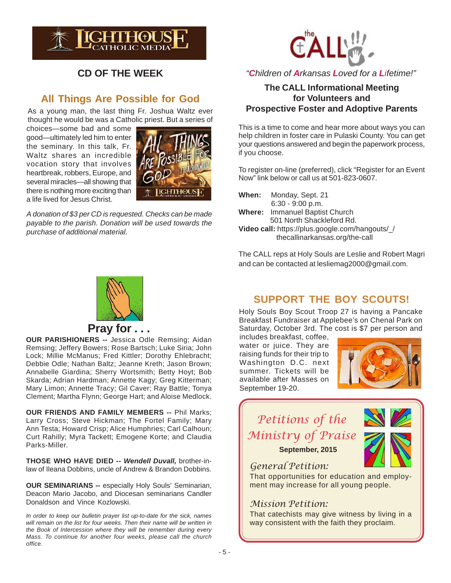

### **CD OF THE WEEK**

### **All Things Are Possible for God**

As a young man, the last thing Fr. Joshua Waltz ever thought he would be was a Catholic priest. But a series of

choices—some bad and some good—ultimately led him to enter the seminary. In this talk, Fr. Waltz shares an incredible vocation story that involves heartbreak, robbers, Europe, and several miracles—all showing that there is nothing more exciting than a life lived for Jesus Christ.



*A donation of \$3 per CD is requested. Checks can be made payable to the parish. Donation will be used towards the purchase of additional material.*



### *"Children of Arkansas Loved for a Lifetime!"*

### **The CALL Informational Meeting for Volunteers and Prospective Foster and Adoptive Parents**

This is a time to come and hear more about ways you can help children in foster care in Pulaski County. You can get your questions answered and begin the paperwork process, if you choose.

To register on-line (preferred), click "Register for an Event Now" link below or call us at 501-823-0607.

| When: | Monday, Sept. 21                                   |
|-------|----------------------------------------------------|
|       | $6:30 - 9:00 p.m.$                                 |
|       | <b>Where:</b> Immanuel Baptist Church              |
|       | 501 North Shackleford Rd.                          |
|       | <u>Video polli bitroillolijo poople populaanon</u> |

**Video call:** https://plus.google.com/hangouts/\_/ thecallinarkansas.org/the-call

The CALL reps at Holy Souls are Leslie and Robert Magri and can be contacted at lesliemag2000@gmail.com.



## **Pray for . . .**

**OUR PARISHIONERS --** Jessica Odle Remsing; Aidan Remsing; Jeffery Bowers; Rose Bartsch; Luke Siria; John Lock; Millie McManus; Fred Kittler; Dorothy Ehlebracht; Debbie Odle; Nathan Baltz; Jeanne Kreth; Jason Brown; Annabelle Giardina; Sherry Wortsmith; Betty Hoyt; Bob Skarda; Adrian Hardman; Annette Kagy; Greg Kitterman; Mary Limon; Annette Tracy; Gil Caver; Ray Battle; Tonya Clement; Martha Flynn; George Hart; and Aloise Medlock.

**OUR FRIENDS AND FAMILY MEMBERS --** Phil Marks; Larry Cross; Steve Hickman; The Fortel Family; Mary Ann Testa; Howard Crisp; Alice Humphries; Carl Calhoun; Curt Rahilly; Myra Tackett; Emogene Korte; and Claudia Parks-Miller.

**THOSE WHO HAVE DIED --** *Wendell Duvall,* brother-inlaw of Ileana Dobbins, uncle of Andrew & Brandon Dobbins.

**OUR SEMINARIANS --** especially Holy Souls' Seminarian, Deacon Mario Jacobo, and Diocesan seminarians Candler Donaldson and Vince Kozlowski.

*In order to keep our bulletin prayer list up-to-date for the sick, names will remain on the list for four weeks. Then their name will be written in the Book of Intercession where they will be remember during every Mass. To continue for another four weeks, please call the church office.*

### **SUPPORT THE BOY SCOUTS!**

Holy Souls Boy Scout Troop 27 is having a Pancake Breakfast Fundraiser at Applebee's on Chenal Park on Saturday, October 3rd. The cost is \$7 per person and includes breakfast, coffee,

water or juice. They are raising funds for their trip to Washington D.C. next summer. Tickets will be available after Masses on September 19-20.



## Petitions of the Ministry of Praise **September, 2015**



General Petition:

That opportunities for education and employment may increase for all young people.

### Mission Petition:

That catechists may give witness by living in a way consistent with the faith they proclaim.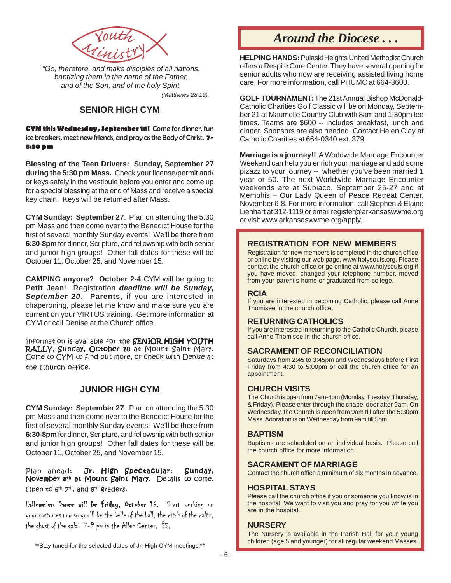

*"Go, therefore, and make disciples of all nations, baptizing them in the name of the Father, and of the Son, and of the holy Spirit. (Matthews 28:19).*

### **SENIOR HIGH CYM**

**CYM this Wednesday, September 16!** Come for dinner, fun ice breakers, meet new friends, and pray as the Body of Christ. **7- 8:30 pm**

**Blessing of the Teen Drivers: Sunday, September 27 during the 5:30 pm Mass.** Check your license/permit and/ or keys safely in the vestibule before you enter and come up for a special blessing at the end of Mass and receive a special key chain. Keys will be returned after Mass.

**CYM Sunday: September 27**. Plan on attending the 5:30 pm Mass and then come over to the Benedict House for the first of several monthly Sunday events! We'll be there from **6:30-8pm** for dinner, Scripture, and fellowship with both senior and junior high groups! Other fall dates for these will be October 11, October 25, and November 15.

**CAMPING anyone? October 2-4** CYM will be going to **Petit Jean**! Registration *deadline will be Sunday, September 20*. **Parents**, if you are interested in chaperoning, please let me know and make sure you are current on your VIRTUS training. Get more information at CYM or call Denise at the Church office.

Information is available for the SENIOR HIGH YOUTH RALLY, Sunday, October 18 at Mount Saint Mary. Come to CYM to find out more, or check with Denise at the Church office.

### **JUNIOR HIGH CYM**

**CYM Sunday: September 27**. Plan on attending the 5:30 pm Mass and then come over to the Benedict House for the first of several monthly Sunday events! We'll be there from **6:30-8pm** for dinner, Scripture, and fellowship with both senior and junior high groups! Other fall dates for these will be October 11, October 25, and November 15.

Plan ahead: Jr. High Spectacular: Sunday, November 8<sup>th</sup> at Mount Saint Mary. Details to come. Open to  $6<sup>th</sup>$ ,  $7<sup>th</sup>$ , and  $8<sup>th</sup>$  graders.

Hallowe'en Dance will be Friday, October 16. Start working on your costumes now so you'll be the belle of the ball, the witch of the waltz, the ghost of the gala! 7-9 pm in the Allen Center. \$5.

\*\*Stay tuned for the selected dates of Jr. High CYM meetings!\*\*

## *Around the Diocese . . .*

**HELPING HANDS:** Pulaski Heights United Methodist Church offers a Respite Care Center. They have several opening for senior adults who now are receiving assisted living home care. For more information, call PHUMC at 664-3600.

**GOLF TOURNAMENT:** The 21st Annual Bishop McDonald-Catholic Charities Golf Classic will be on Monday, September 21 at Maumelle Country Club with 8am and 1:30pm tee times. Teams are \$600 -- includes breakfast, lunch and dinner. Sponsors are also needed. Contact Helen Clay at Catholic Charities at 664-0340 ext. 379.

**Marriage is a journey!!** A Worldwide Marriage Encounter Weekend can help you enrich your marriage and add some pizazz to your journey -- whether you've been married 1 year or 50. The next Worldwide Marriage Encounter weekends are at Subiaco, September 25-27 and at Memphis – Our Lady Queen of Peace Retreat Center, November 6-8. For more information, call Stephen & Elaine Lienhart at 312-1119 or email register@arkansaswwme.org or visit www.arkansaswwme.org/apply.

#### **REGISTRATION FOR NEW MEMBERS**

Registration for new members is completed in the church office or online by visiting our web page, www.holysouls.org. Please contact the church office or go online at www.holysouls.org if you have moved, changed your telephone number, moved from your parent's home or graduated from college.

#### **RCIA**

If you are interested in becoming Catholic, please call Anne Thomisee in the church office.

#### **RETURNING CATHOLICS**

If you are interested in returning to the Catholic Church, please call Anne Thomisee in the church office.

#### **SACRAMENT OF RECONCILIATION**

Saturdays from 2:45 to 3:45pm and Wednesdays before First Friday from 4:30 to 5:00pm or call the church office for an appointment.

#### **CHURCH VISITS**

The Church is open from 7am-4pm (Monday, Tuesday, Thursday, & Friday). Please enter through the chapel door after 9am. On Wednesday, the Church is open from 9am till after the 5:30pm Mass. Adoration is on Wednesday from 9am till 5pm.

#### **BAPTISM**

Baptisms are scheduled on an individual basis. Please call the church office for more information.

#### **SACRAMENT OF MARRIAGE**

Contact the church office a minimum of six months in advance.

#### **HOSPITAL STAYS**

Please call the church office if you or someone you know is in the hospital. We want to visit you and pray for you while you are in the hospital.

#### **NURSERY**

The Nursery is available in the Parish Hall for your young children (age 5 and younger) for all regular weekend Masses.